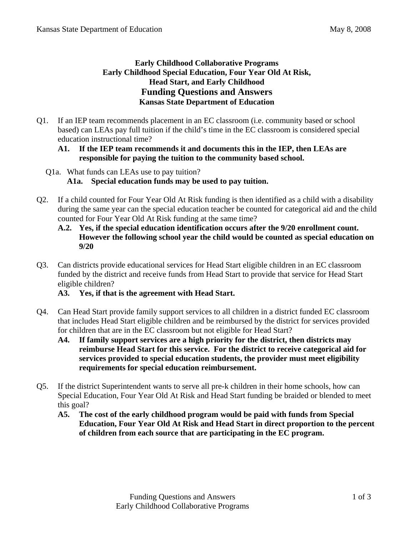## **Early Childhood Collaborative Programs Early Childhood Special Education, Four Year Old At Risk, Head Start, and Early Childhood Funding Questions and Answers Kansas State Department of Education**

Q1. If an IEP team recommends placement in an EC classroom (i.e. community based or school based) can LEAs pay full tuition if the child's time in the EC classroom is considered special education instructional time?

## **A1. If the IEP team recommends it and documents this in the IEP, then LEAs are responsible for paying the tuition to the community based school.**

- Q1a. What funds can LEAs use to pay tuition? **A1a. Special education funds may be used to pay tuition.**
- Q2. If a child counted for Four Year Old At Risk funding is then identified as a child with a disability during the same year can the special education teacher be counted for categorical aid and the child counted for Four Year Old At Risk funding at the same time?
	- **A.2. Yes, if the special education identification occurs after the 9/20 enrollment count. However the following school year the child would be counted as special education on 9/20**
- Q3. Can districts provide educational services for Head Start eligible children in an EC classroom funded by the district and receive funds from Head Start to provide that service for Head Start eligible children?

## **A3. Yes, if that is the agreement with Head Start.**

- Q4. Can Head Start provide family support services to all children in a district funded EC classroom that includes Head Start eligible children and be reimbursed by the district for services provided for children that are in the EC classroom but not eligible for Head Start?
	- **A4. If family support services are a high priority for the district, then districts may reimburse Head Start for this service. For the district to receive categorical aid for services provided to special education students, the provider must meet eligibility requirements for special education reimbursement.**
- Q5. If the district Superintendent wants to serve all pre-k children in their home schools, how can Special Education, Four Year Old At Risk and Head Start funding be braided or blended to meet this goal?
	- **A5. The cost of the early childhood program would be paid with funds from Special Education, Four Year Old At Risk and Head Start in direct proportion to the percent of children from each source that are participating in the EC program.**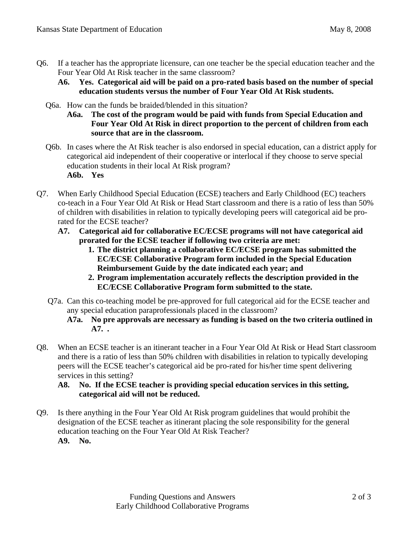- Q6. If a teacher has the appropriate licensure, can one teacher be the special education teacher and the Four Year Old At Risk teacher in the same classroom?
	- **A6. Yes. Categorical aid will be paid on a pro-rated basis based on the number of special education students versus the number of Four Year Old At Risk students.**
	- Q6a. How can the funds be braided/blended in this situation?
		- **A6a. The cost of the program would be paid with funds from Special Education and Four Year Old At Risk in direct proportion to the percent of children from each source that are in the classroom.**
	- Q6b. In cases where the At Risk teacher is also endorsed in special education, can a district apply for categorical aid independent of their cooperative or interlocal if they choose to serve special education students in their local At Risk program? **A6b. Yes**
- Q7. When Early Childhood Special Education (ECSE) teachers and Early Childhood (EC) teachers co-teach in a Four Year Old At Risk or Head Start classroom and there is a ratio of less than 50% of children with disabilities in relation to typically developing peers will categorical aid be prorated for the ECSE teacher?
	- **A7. Categorical aid for collaborative EC/ECSE programs will not have categorical aid prorated for the ECSE teacher if following two criteria are met:** 
		- **1. The district planning a collaborative EC/ECSE program has submitted the EC/ECSE Collaborative Program form included in the Special Education Reimbursement Guide by the date indicated each year; and**
		- **2. Program implementation accurately reflects the description provided in the EC/ECSE Collaborative Program form submitted to the state.**
	- Q7a. Can this co-teaching model be pre-approved for full categorical aid for the ECSE teacher and any special education paraprofessionals placed in the classroom?
		- **A7a. No pre approvals are necessary as funding is based on the two criteria outlined in A7. .**
- Q8. When an ECSE teacher is an itinerant teacher in a Four Year Old At Risk or Head Start classroom and there is a ratio of less than 50% children with disabilities in relation to typically developing peers will the ECSE teacher's categorical aid be pro-rated for his/her time spent delivering services in this setting?
	- **A8. No. If the ECSE teacher is providing special education services in this setting, categorical aid will not be reduced.**
- Q9. Is there anything in the Four Year Old At Risk program guidelines that would prohibit the designation of the ECSE teacher as itinerant placing the sole responsibility for the general education teaching on the Four Year Old At Risk Teacher? **A9. No.**